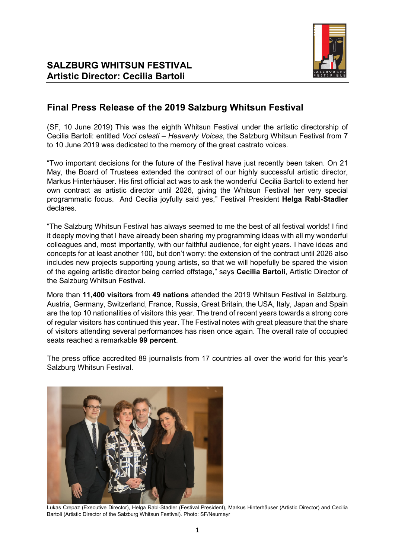

# **Final Press Release of the 2019 Salzburg Whitsun Festival**

(SF, 10 June 2019) This was the eighth Whitsun Festival under the artistic directorship of Cecilia Bartoli: entitled *Voci celesti – Heavenly Voices*, the Salzburg Whitsun Festival from 7 to 10 June 2019 was dedicated to the memory of the great castrato voices.

"Two important decisions for the future of the Festival have just recently been taken. On 21 May, the Board of Trustees extended the contract of our highly successful artistic director, Markus Hinterhäuser. His first official act was to ask the wonderful Cecilia Bartoli to extend her own contract as artistic director until 2026, giving the Whitsun Festival her very special programmatic focus. And Cecilia joyfully said yes," Festival President **Helga Rabl-Stadler** declares.

"The Salzburg Whitsun Festival has always seemed to me the best of all festival worlds! I find it deeply moving that I have already been sharing my programming ideas with all my wonderful colleagues and, most importantly, with our faithful audience, for eight years. I have ideas and concepts for at least another 100, but don't worry: the extension of the contract until 2026 also includes new projects supporting young artists, so that we will hopefully be spared the vision of the ageing artistic director being carried offstage," says **Cecilia Bartoli**, Artistic Director of the Salzburg Whitsun Festival.

More than **11,400 visitors** from **49 nations** attended the 2019 Whitsun Festival in Salzburg. Austria, Germany, Switzerland, France, Russia, Great Britain, the USA, Italy, Japan and Spain are the top 10 nationalities of visitors this year. The trend of recent years towards a strong core of regular visitors has continued this year. The Festival notes with great pleasure that the share of visitors attending several performances has risen once again. The overall rate of occupied seats reached a remarkable **99 percent**.

The press office accredited 89 journalists from 17 countries all over the world for this year's Salzburg Whitsun Festival.



Lukas Crepaz (Executive Director), Helga Rabl-Stadler (Festival President), Markus Hinterhäuser (Artistic Director) and Cecilia Bartoli (Artistic Director of the Salzburg Whitsun Festival). Photo: SF/Neumayr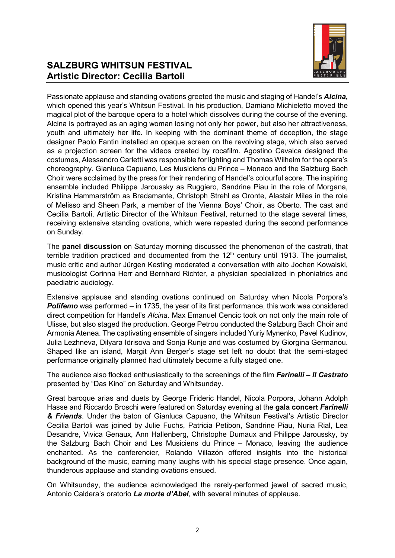

# **SALZBURG WHITSUN FESTIVAL Artistic Director: Cecilia Bartoli**

Passionate applause and standing ovations greeted the music and staging of Handel's *Alcina***,** which opened this year's Whitsun Festival. In his production, Damiano Michieletto moved the magical plot of the baroque opera to a hotel which dissolves during the course of the evening. Alcina is portrayed as an aging woman losing not only her power, but also her attractiveness, youth and ultimately her life. In keeping with the dominant theme of deception, the stage designer Paolo Fantin installed an opaque screen on the revolving stage, which also served as a projection screen for the videos created by rocafilm. Agostino Cavalca designed the costumes, Alessandro Carletti was responsible for lighting and Thomas Wilhelm for the opera's choreography. Gianluca Capuano, Les Musiciens du Prince – Monaco and the Salzburg Bach Choir were acclaimed by the press for their rendering of Handel's colourful score. The inspiring ensemble included Philippe Jaroussky as Ruggiero, Sandrine Piau in the role of Morgana, Kristina Hammarström as Bradamante, Christoph Strehl as Oronte, Alastair Miles in the role of Melisso and Sheen Park, a member of the Vienna Boys' Choir, as Oberto. The cast and Cecilia Bartoli, Artistic Director of the Whitsun Festival, returned to the stage several times, receiving extensive standing ovations, which were repeated during the second performance on Sunday.

The **panel discussion** on Saturday morning discussed the phenomenon of the castrati, that terrible tradition practiced and documented from the  $12<sup>th</sup>$  century until 1913. The journalist, music critic and author Jürgen Kesting moderated a conversation with alto Jochen Kowalski, musicologist Corinna Herr and Bernhard Richter, a physician specialized in phoniatrics and paediatric audiology.

Extensive applause and standing ovations continued on Saturday when Nicola Porpora's **Polifemo** was performed – in 1735, the year of its first performance, this work was considered direct competition for Handel's *Alcina*. Max Emanuel Cencic took on not only the main role of Ulisse, but also staged the production. George Petrou conducted the Salzburg Bach Choir and Armonia Atenea. The captivating ensemble of singers included Yuriy Mynenko, Pavel Kudinov, Julia Lezhneva, Dilyara Idrisova and Sonja Runje and was costumed by Giorgina Germanou. Shaped like an island, Margit Ann Berger's stage set left no doubt that the semi-staged performance originally planned had ultimately become a fully staged one.

The audience also flocked enthusiastically to the screenings of the film *Farinelli – Il Castrato* presented by "Das Kino" on Saturday and Whitsunday.

Great baroque arias and duets by George Frideric Handel, Nicola Porpora, Johann Adolph Hasse and Riccardo Broschi were featured on Saturday evening at the **gala concert** *Farinelli & Friends*. Under the baton of Gianluca Capuano, the Whitsun Festival's Artistic Director Cecilia Bartoli was joined by Julie Fuchs, Patricia Petibon, Sandrine Piau, Nuria Rial, Lea Desandre, Vivica Genaux, Ann Hallenberg, Christophe Dumaux and Philippe Jaroussky, by the Salzburg Bach Choir and Les Musiciens du Prince – Monaco, leaving the audience enchanted. As the conferencier, Rolando Villazón offered insights into the historical background of the music, earning many laughs with his special stage presence. Once again, thunderous applause and standing ovations ensued.

On Whitsunday, the audience acknowledged the rarely-performed jewel of sacred music, Antonio Caldera's oratorio *La morte d'Abel*, with several minutes of applause.